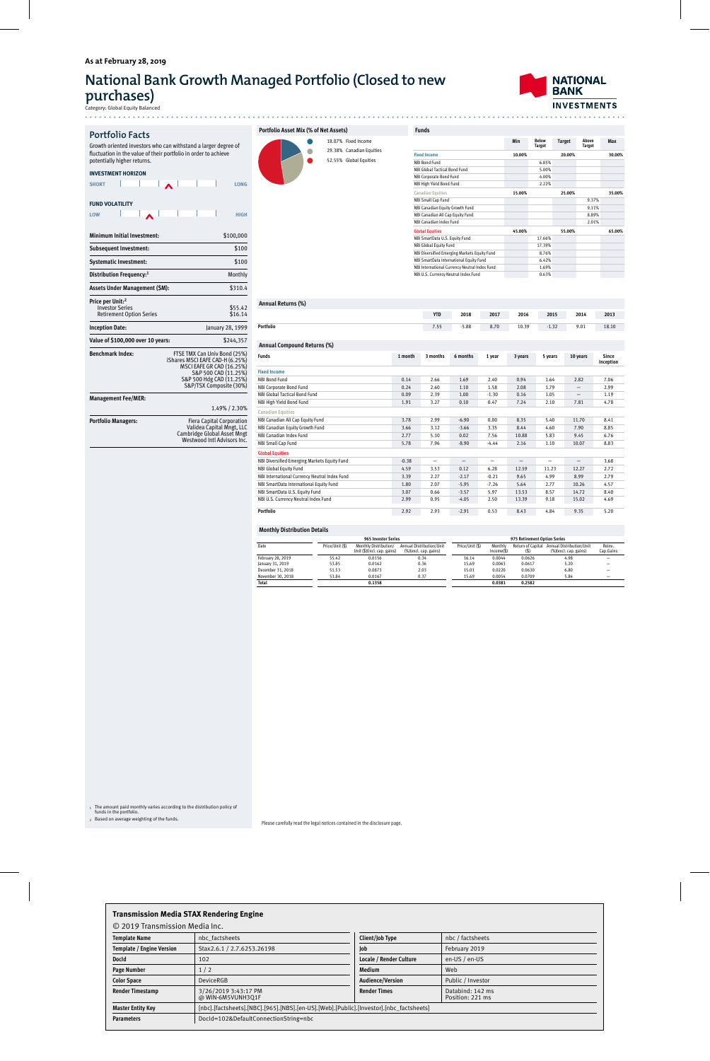### **As at February 28, 2019**

## **National Bank Growth Managed Portfolio (Closed to new purchases)**

Category: Global Equity Balanced

**NATIONAL BANK INVESTMENTS** . . . . . . . . . . . . . .

### **Portfolio Facts** Growth oriented investors who can withstand a larger degree of fluctuation in the value of their portfolio in order to achieve

potentially higher returns. **INVESTMENT HORIZON**

| <b>SHORT</b> |  |  | LONG |
|--------------|--|--|------|

**FUND VOLATILITY LOW**  $H = \frac{1}{2}$   $\sqrt{1 - \frac{1}{2}}$   $\sqrt{1 - \frac{1}{2}}$   $\sqrt{1 - \frac{1}{2}}$   $\sqrt{1 - \frac{1}{2}}$   $\sqrt{1 - \frac{1}{2}}$   $\sqrt{1 - \frac{1}{2}}$ 

| Minimum Initial Investment:                                                               | \$100,000                                                                                                                                                                          |
|-------------------------------------------------------------------------------------------|------------------------------------------------------------------------------------------------------------------------------------------------------------------------------------|
| <b>Subsequent Investment:</b>                                                             | \$100                                                                                                                                                                              |
| <b>Systematic Investment:</b>                                                             | \$100                                                                                                                                                                              |
| Distribution Frequency:1                                                                  | Monthly                                                                                                                                                                            |
| Assets Under Management (\$M):                                                            | \$310.4                                                                                                                                                                            |
| Price per Unit: <sup>2</sup><br><b>Investor Series</b><br><b>Retirement Option Series</b> | \$55.42<br>\$16.14                                                                                                                                                                 |
| <b>Inception Date:</b>                                                                    | January 28, 1999                                                                                                                                                                   |
| Value of \$100,000 over 10 years:                                                         | \$244.357                                                                                                                                                                          |
| <b>Benchmark Index:</b>                                                                   | FTSE TMX Can Univ Bond (25%)<br>iShares MSCI EAFE CAD-H (6.25%)<br><b>MSCI EAFE GR CAD (16.25%)</b><br>S&P 500 CAD (11.25%)<br>S&P 500 Hdg CAD (11.25%)<br>S&P/TSX Composite (30%) |
| <b>Management Fee/MER:</b>                                                                |                                                                                                                                                                                    |
|                                                                                           | 1.49% / 2.30%                                                                                                                                                                      |

**Portfolio Managers:** Fiera Capital Corporation Validea Capital Mngt, LLC Cambridge Global Asset Mngt Westwood Intl Advisors Inc.

| Portfolio Asset Mix (% of Net Assets) |  |  |            |  |  |  |  |  |  |
|---------------------------------------|--|--|------------|--|--|--|--|--|--|
|                                       |  |  | 18.07% Fix |  |  |  |  |  |  |
|                                       |  |  | 29.38% Ca  |  |  |  |  |  |  |
|                                       |  |  | 52.55% Gl  |  |  |  |  |  |  |
|                                       |  |  |            |  |  |  |  |  |  |



18.07% Fixed Income

| <b>Funds</b>                                  |        |                               |               |                        |        |
|-----------------------------------------------|--------|-------------------------------|---------------|------------------------|--------|
|                                               | Min    | <b>Below</b><br><b>Target</b> | <b>Target</b> | Above<br><b>Target</b> | Max    |
| <b>Fixed Income</b>                           | 10.00% |                               | 20.00%        |                        | 30.00% |
| NBI Bond Fund                                 |        | 6.85%                         |               |                        |        |
| NBI Global Tactical Bond Fund                 |        | 5.00%                         |               |                        |        |
| NBI Corporate Bond Fund                       |        | 4.00%                         |               |                        |        |
| NBI High Yield Bond Fund                      |        | 2.22%                         |               |                        |        |
| <b>Canadian Equities</b>                      | 15.00% |                               | 25.00%        |                        | 35.00% |
| <b>NBI Small Cap Fund</b>                     |        |                               |               | 9.37%                  |        |
| NBI Canadian Equity Growth Fund               |        |                               |               | 9.11%                  |        |
| NBI Canadian All Cap Equity Fund              |        |                               |               | 8.89%                  |        |
| NBI Canadian Index Fund                       |        |                               |               | 2.01%                  |        |
| <b>Global Equities</b>                        | 45.00% |                               | 55.00%        |                        | 65.00% |
| NBI SmartData U.S. Equity Fund                |        | 17.66%                        |               |                        |        |
| <b>NBI Global Equity Fund</b>                 |        | 17.39%                        |               |                        |        |
| NBI Diversified Emerging Markets Equity Fund  |        | 8.76%                         |               |                        |        |
| NBI SmartData International Equity Fund       |        | 6.42%                         |               |                        |        |
| NBI International Currency Neutral Index Fund |        | 1.69%                         |               |                        |        |
| NBI U.S. Currency Neutral Index Fund          |        | 0.63%                         |               |                        |        |

#### **Annual Returns (%)**

|                                               |         | <b>YTD</b>               | 2018     | 2017    | 2016                     | 2015                     | 2014                     | 2013               |
|-----------------------------------------------|---------|--------------------------|----------|---------|--------------------------|--------------------------|--------------------------|--------------------|
| Portfolio                                     |         | 7.55                     | $-5.88$  | 8.70    | 10.39                    | $-1.32$                  | 9.01                     | 18.10              |
|                                               |         |                          |          |         |                          |                          |                          |                    |
| Annual Compound Returns (%)                   |         |                          |          |         |                          |                          |                          |                    |
| <b>Funds</b>                                  | 1 month | 3 months                 | 6 months | 1 year  | 3 years                  | 5 years                  | 10 years                 | Since<br>Inception |
| <b>Fixed Income</b>                           |         |                          |          |         |                          |                          |                          |                    |
| NBI Bond Fund                                 | 0.14    | 2.66                     | 1.69     | 2.40    | 0.94                     | 1.64                     | 2.82                     | 7.06               |
| NBI Corporate Bond Fund                       | 0.24    | 2.60                     | 1.10     | 1.58    | 2.08                     | 1.79                     | $\overline{\phantom{0}}$ | 2.99               |
| NBI Global Tactical Bond Fund                 | 0.09    | 2.39                     | 1.00     | $-1.30$ | 0.16                     | 1.05                     | $\overline{\phantom{0}}$ | 1.19               |
| NBI High Yield Bond Fund                      | 1.91    | 3.27                     | 0.10     | 0.47    | 7.24                     | 2.10                     | 7.81                     | 4.78               |
| <b>Canadian Equities</b>                      |         |                          |          |         |                          |                          |                          |                    |
| NBI Canadian All Cap Equity Fund              | 3.78    | 2.99                     | $-6.90$  | 0.00    | 8.35                     | 5.40                     | 11.70                    | 8.41               |
| NBI Canadian Equity Growth Fund               | 3.66    | 3.12                     | $-3.66$  | 3.35    | 8.44                     | 4.60                     | 7.90                     | 8.85               |
| NBI Canadian Index Fund                       | 2.77    | 5.10                     | 0.02     | 7.56    | 10.88                    | 5.83                     | 9.45                     | 6.76               |
| <b>NBI Small Cap Fund</b>                     | 5.78    | 7.96                     | $-8.90$  | $-4.44$ | 2.16                     | 1.10                     | 10.07                    | 8.83               |
| <b>Global Equities</b>                        |         |                          |          |         |                          |                          |                          |                    |
| NBI Diversified Emerging Markets Equity Fund  | $-0.38$ | $\overline{\phantom{0}}$ |          |         | $\overline{\phantom{0}}$ | $\overline{\phantom{0}}$ | $\overline{\phantom{0}}$ | 3.68               |
| <b>NBI Global Equity Fund</b>                 | 4.59    | 3.53                     | 0.12     | 6.28    | 12.59                    | 11.23                    | 12.27                    | 2.72               |
| NBI International Currency Neutral Index Fund | 3.39    | 2.27                     | $-2.17$  | $-0.21$ | 9.65                     | 4.99                     | 8.99                     | 2.79               |
| NBI SmartData International Equity Fund       | 1.80    | 2.07                     | $-5.95$  | $-7.26$ | 5.64                     | 2.77                     | 10.26                    | 4.57               |
| NBI SmartData U.S. Equity Fund                | 3.07    | 0.66                     | $-3.57$  | 5.97    | 13.53                    | 8.57                     | 14.72                    | 8.40               |
| NBI U.S. Currency Neutral Index Fund          | 2.99    | 0.95                     | $-4.05$  | 2.50    | 13.39                    | 9.18                     | 15.02                    | 4.69               |
| Portfolio                                     | 2.92    | 2.93                     | $-2.91$  | 0.53    | 8.43                     | 4.84                     | 9.35                     | 5.20               |
|                                               |         |                          |          |         |                          |                          |                          |                    |

#### **Monthly Distribution Details**

|                   |                 | 965 Investor Series                                  | 975 Retirement Option Series                      |                 |                          |                           |                                                   |                     |
|-------------------|-----------------|------------------------------------------------------|---------------------------------------------------|-----------------|--------------------------|---------------------------|---------------------------------------------------|---------------------|
| Date              | Price/Unit (\$) | Monthly Distribution/<br>Unit (\$)(incl. cap. gains) | Annual Distribution/Unit<br>(%)(excl. cap. gains) | Price/Unit (\$) | Monthly<br>$Income($ \$) | Return of Capital<br>(\$) | Annual Distribution/Unit<br>(%)(excl. cap. gains) | Reinv.<br>Cap.Gains |
| February 28, 2019 | 55.42           | 0.0156                                               | 0.34                                              | 16.14           | 0.0044                   | 0.0626                    | 4.98                                              | -                   |
| January 31, 2019  | 53.85           | 0.0162                                               | 0.36                                              | 15.69           | 0.0063                   | 0.0617                    | 5.20                                              | -                   |
| December 31, 2018 | 51.53           | 0.0873                                               | 2.03                                              | 15.01           | 0.0220                   | 0.0630                    | 6.80                                              | -                   |
| November 30, 2018 | 53.84           | 0.0167                                               | 0.37                                              | 15.69           | 0.0054                   | 0.0709                    | 5.84                                              | -                   |
| <b>Total</b>      |                 | 0.1358                                               |                                                   |                 | 0.0381                   | 0.2582                    |                                                   |                     |

<sup>1</sup> The amount paid monthly varies according to the distribution policy of funds in the portfolio. <sup>2</sup> Based on average weighting of the funds.

Please carefully read the legal notices contained in the disclosure page.